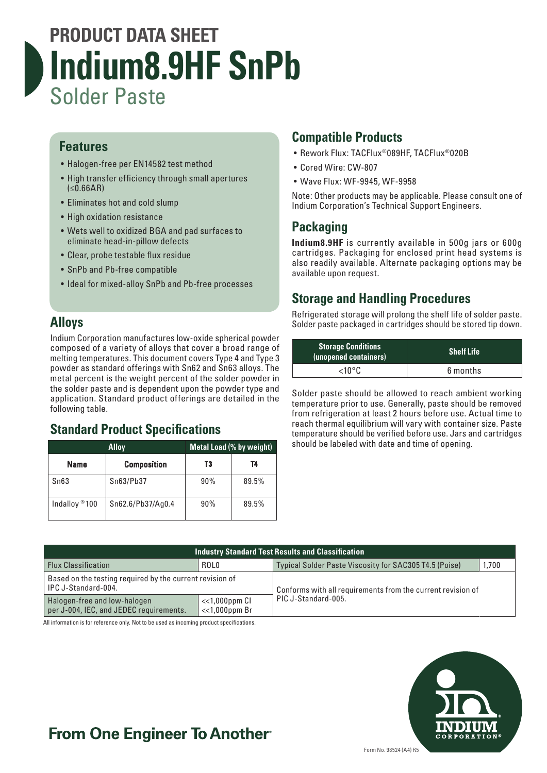# **PRODUCT DATA SHEET Indium8.9HF SnPb** Solder Paste

### **Features**

- Halogen-free per EN14582 test method
- High transfer efficiency through small apertures (≤0.66AR)
- Eliminates hot and cold slump
- High oxidation resistance
- Wets well to oxidized BGA and pad surfaces to eliminate head-in-pillow defects
- Clear, probe testable flux residue
- SnPb and Pb-free compatible
- Ideal for mixed-alloy SnPb and Pb-free processes

### **Alloys**

Indium Corporation manufactures low-oxide spherical powder composed of a variety of alloys that cover a broad range of melting temperatures. This document covers Type 4 and Type 3 powder as standard offerings with Sn62 and Sn63 alloys. The metal percent is the weight percent of the solder powder in the solder paste and is dependent upon the powder type and application. Standard product offerings are detailed in the following table.

### **Standard Product Specifications**

| <b>Alloy</b>              |                    | <b>Metal Load (% by weight)</b> |       |
|---------------------------|--------------------|---------------------------------|-------|
| Name                      | <b>Composition</b> | T3                              | T4    |
| Sn63                      | Sn63/Pb37          | 90%                             | 89.5% |
| Indalloy <sup>®</sup> 100 | Sn62.6/Pb37/Aq0.4  | 90%                             | 89.5% |

### **Compatible Products**

- Rework Flux: TACFlux®089HF, TACFlux®020B
- Cored Wire: CW-807
- Wave Flux: WF-9945, WF-9958

Note: Other products may be applicable. Please consult one of Indium Corporation's Technical Support Engineers.

### **Packaging**

**Indium8.9HF** is currently available in 500g jars or 600g cartridges. Packaging for enclosed print head systems is also readily available. Alternate packaging options may be available upon request.

## **Storage and Handling Procedures**

Refrigerated storage will prolong the shelf life of solder paste. Solder paste packaged in cartridges should be stored tip down.

| <b>Storage Conditions</b><br>(unopened containers) | <b>Shelf Life</b> |  |
|----------------------------------------------------|-------------------|--|
| $<$ 10°C                                           | 6 months          |  |

Solder paste should be allowed to reach ambient working temperature prior to use. Generally, paste should be removed from refrigeration at least 2 hours before use. Actual time to reach thermal equilibrium will vary with container size. Paste temperature should be verified before use. Jars and cartridges should be labeled with date and time of opening.

| <b>Industry Standard Test Results and Classification</b>                          |                                            |                                                             |  |  |  |  |
|-----------------------------------------------------------------------------------|--------------------------------------------|-------------------------------------------------------------|--|--|--|--|
| Flux Classification<br>ROL0                                                       |                                            | Typical Solder Paste Viscosity for SAC305 T4.5 (Poise)      |  |  |  |  |
| Based on the testing required by the current revision of<br>I IPC J-Standard-004. |                                            | Conforms with all requirements from the current revision of |  |  |  |  |
| Halogen-free and low-halogen<br>per J-004, IEC, and JEDEC requirements.           | $<<$ 1,000 $ppm$ Cl<br>$<<$ 1,000 $ppm$ Br | PIC J-Standard-005.                                         |  |  |  |  |

All information is for reference only. Not to be used as incoming product specifications.



## **From One Engineer To Another**®